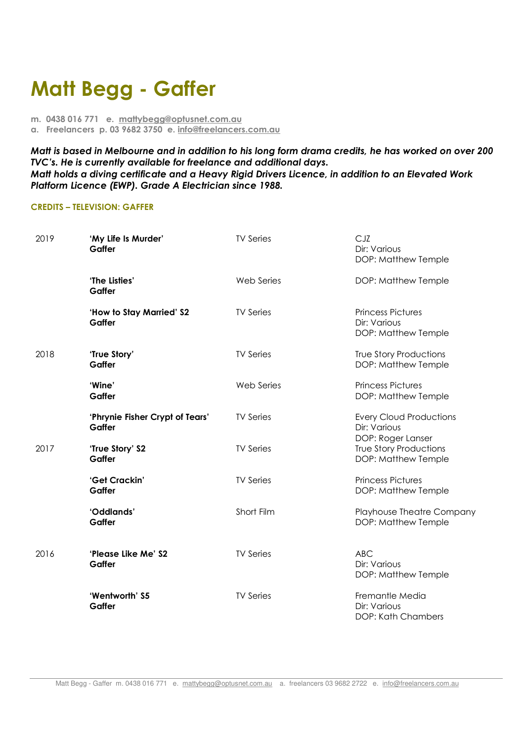## **Matt Begg - Gaffer**

**m. 0438 016 771 e. mattybegg@optusnet.com.au a. Freelancers p. 03 9682 3750 e. info@freelancers.com.au** 

*Matt is based in Melbourne and in addition to his long form drama credits, he has worked on over 200 TVC's. He is currently available for freelance and additional days. Matt holds a diving certificate and a Heavy Rigid Drivers Licence, in addition to an Elevated Work Platform Licence (EWP). Grade A Electrician since 1988.* 

## **CREDITS – TELEVISION: GAFFER**

| 2019 | 'My Life Is Murder'<br>Gaffer             | <b>TV Series</b> | CJZ<br>Dir: Various<br>DOP: Matthew Temple                          |
|------|-------------------------------------------|------------------|---------------------------------------------------------------------|
|      | 'The Listies'<br>Gaffer                   | Web Series       | DOP: Matthew Temple                                                 |
|      | 'How to Stay Married' S2<br>Gaffer        | <b>TV Series</b> | <b>Princess Pictures</b><br>Dir: Various<br>DOP: Matthew Temple     |
| 2018 | 'True Story'<br>Gaffer                    | <b>TV Series</b> | True Story Productions<br>DOP: Matthew Temple                       |
|      | 'Wine'<br>Gaffer                          | Web Series       | <b>Princess Pictures</b><br>DOP: Matthew Temple                     |
|      | 'Phrynie Fisher Crypt of Tears'<br>Gaffer | <b>TV Series</b> | <b>Every Cloud Productions</b><br>Dir: Various<br>DOP: Roger Lanser |
| 2017 | 'True Story' S2<br>Gaffer                 | <b>TV Series</b> | <b>True Story Productions</b><br>DOP: Matthew Temple                |
|      | 'Get Crackin'<br>Gaffer                   | <b>TV Series</b> | <b>Princess Pictures</b><br>DOP: Matthew Temple                     |
|      | 'Oddlands'<br>Gaffer                      | Short Film       | Playhouse Theatre Company<br>DOP: Matthew Temple                    |
| 2016 | 'Please Like Me' S2<br>Gaffer             | <b>TV Series</b> | <b>ABC</b><br>Dir: Various<br>DOP: Matthew Temple                   |
|      | 'Wentworth' S5<br>Gaffer                  | <b>TV Series</b> | Fremantle Media<br>Dir: Various<br>DOP: Kath Chambers               |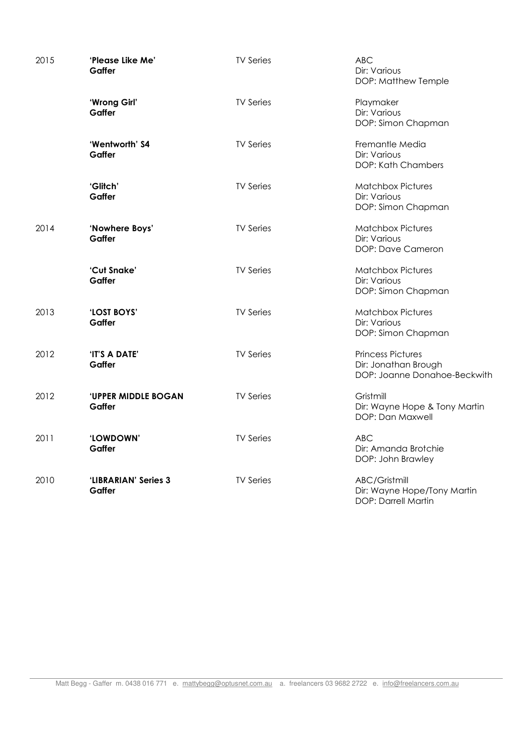| 2015 | 'Please Like Me'<br>Gaffer           | <b>TV Series</b> | <b>ABC</b><br>Dir: Various<br>DOP: Matthew Temple                                |
|------|--------------------------------------|------------------|----------------------------------------------------------------------------------|
|      | 'Wrong Girl'<br>Gaffer               | <b>TV Series</b> | Playmaker<br>Dir: Various<br>DOP: Simon Chapman                                  |
|      | 'Wentworth' S4<br>Gaffer             | <b>TV Series</b> | Fremantle Media<br>Dir: Various<br>DOP: Kath Chambers                            |
|      | 'Glitch'<br>Gaffer                   | <b>TV Series</b> | <b>Matchbox Pictures</b><br>Dir: Various<br>DOP: Simon Chapman                   |
| 2014 | 'Nowhere Boys'<br>Gaffer             | <b>TV Series</b> | <b>Matchbox Pictures</b><br>Dir: Various<br>DOP: Dave Cameron                    |
|      | 'Cut Snake'<br>Gaffer                | <b>TV Series</b> | <b>Matchbox Pictures</b><br>Dir: Various<br>DOP: Simon Chapman                   |
| 2013 | 'LOST BOYS'<br>Gaffer                | <b>TV Series</b> | <b>Matchbox Pictures</b><br>Dir: Various<br>DOP: Simon Chapman                   |
| 2012 | 'IT'S A DATE'<br>Gaffer              | <b>TV Series</b> | <b>Princess Pictures</b><br>Dir: Jonathan Brough<br>DOP: Joanne Donahoe-Beckwith |
| 2012 | <b>'UPPER MIDDLE BOGAN</b><br>Gaffer | <b>TV Series</b> | Gristmill<br>Dir: Wayne Hope & Tony Martin<br>DOP: Dan Maxwell                   |
| 2011 | 'LOWDOWN'<br>Gaffer                  | <b>TV Series</b> | <b>ABC</b><br>Dir: Amanda Brotchie<br>DOP: John Brawley                          |
| 2010 | 'LIBRARIAN' Series 3<br>Gaffer       | <b>TV Series</b> | ABC/Gristmill<br>Dir: Wayne Hope/Tony Martin<br>DOP: Darrell Martin              |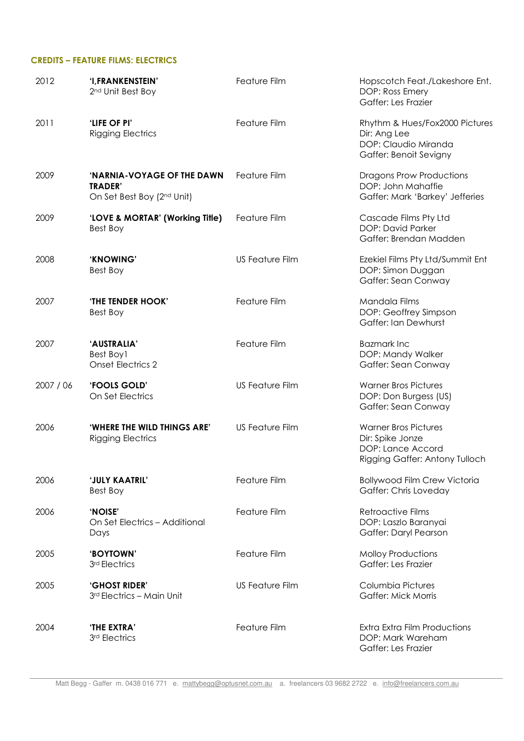## **CREDITS – FEATURE FILMS: ELECTRICS**

| 2012      | 'I, FRANKENSTEIN'<br>2nd Unit Best Boy                                     | Feature Film           | Hopscotch Feat./Lakeshore Ent.<br>DOP: Ross Emery<br>Gaffer: Les Frazier                               |
|-----------|----------------------------------------------------------------------------|------------------------|--------------------------------------------------------------------------------------------------------|
| 2011      | 'LIFE OF PI'<br><b>Rigging Electrics</b>                                   | Feature Film           | Rhythm & Hues/Fox2000 Pictures<br>Dir: Ang Lee<br>DOP: Claudio Miranda<br>Gaffer: Benoit Sevigny       |
| 2009      | 'NARNIA-VOYAGE OF THE DAWN<br><b>TRADER'</b><br>On Set Best Boy (2nd Unit) | Feature Film           | <b>Dragons Prow Productions</b><br>DOP: John Mahaffie<br>Gaffer: Mark 'Barkey' Jefferies               |
| 2009      | 'LOVE & MORTAR' (Working Title)<br>Best Boy                                | Feature Film           | Cascade Films Pty Ltd<br><b>DOP: David Parker</b><br>Gaffer: Brendan Madden                            |
| 2008      | 'KNOWING'<br>Best Boy                                                      | <b>US Feature Film</b> | Ezekiel Films Pty Ltd/Summit Ent<br>DOP: Simon Duggan<br>Gaffer: Sean Conway                           |
| 2007      | <b>'THE TENDER HOOK'</b><br>Best Boy                                       | Feature Film           | Mandala Films<br>DOP: Geoffrey Simpson<br>Gaffer: Ian Dewhurst                                         |
| 2007      | 'AUSTRALIA'<br>Best Boy1<br><b>Onset Electrics 2</b>                       | Feature Film           | <b>Bazmark Inc</b><br>DOP: Mandy Walker<br>Gaffer: Sean Conway                                         |
| 2007 / 06 | 'FOOLS GOLD'<br>On Set Electrics                                           | <b>US Feature Film</b> | <b>Warner Bros Pictures</b><br>DOP: Don Burgess (US)<br>Gaffer: Sean Conway                            |
| 2006      | <b>'WHERE THE WILD THINGS ARE'</b><br><b>Rigging Electrics</b>             | <b>US Feature Film</b> | <b>Warner Bros Pictures</b><br>Dir: Spike Jonze<br>DOP: Lance Accord<br>Rigging Gaffer: Antony Tulloch |
| 2006      | 'JULY KAATRIL'<br>Best Boy                                                 | Feature Film           | <b>Bollywood Film Crew Victoria</b><br>Gaffer: Chris Loveday                                           |
| 2006      | 'NOISE'<br>On Set Electrics - Additional<br>Days                           | Feature Film           | <b>Retroactive Films</b><br>DOP: Laszlo Baranyai<br>Gaffer: Daryl Pearson                              |
| 2005      | 'BOYTOWN'<br>3rd Electrics                                                 | Feature Film           | <b>Molloy Productions</b><br>Gaffer: Les Frazier                                                       |
| 2005      | <b>'GHOST RIDER'</b><br>3rd Electrics - Main Unit                          | <b>US Feature Film</b> | Columbia Pictures<br><b>Gaffer: Mick Morris</b>                                                        |
| 2004      | 'THE EXTRA'<br>3rd Electrics                                               | Feature Film           | Extra Extra Film Productions<br>DOP: Mark Wareham<br>Gaffer: Les Frazier                               |